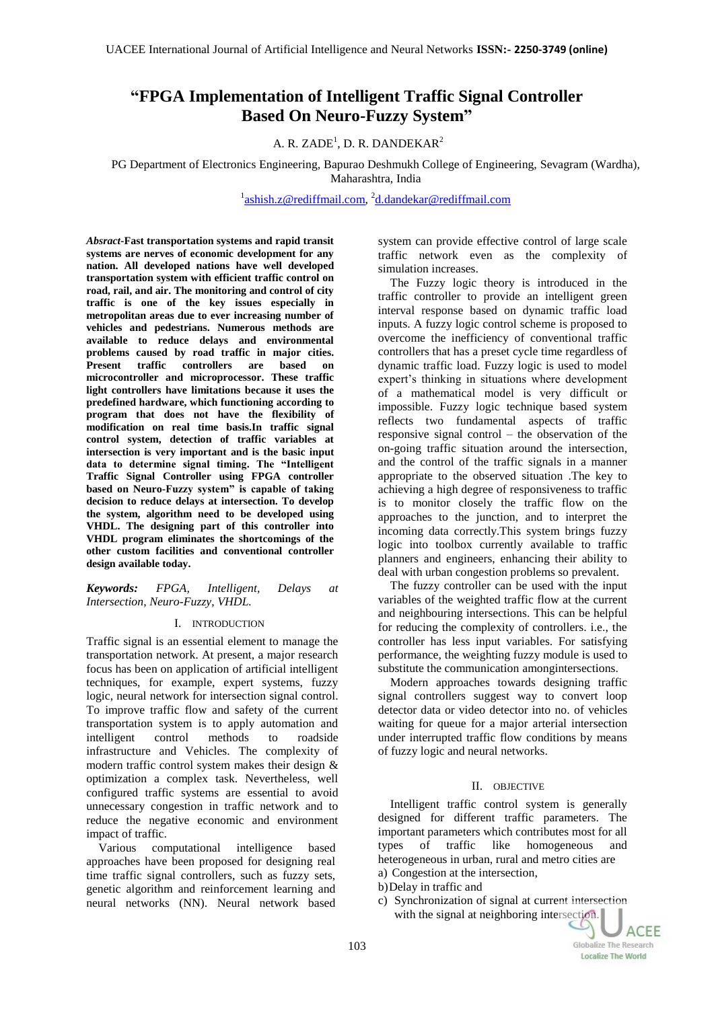# **"FPGA Implementation of Intelligent Traffic Signal Controller Based On Neuro-Fuzzy System"**

A. R. ZADE<sup>1</sup>, D. R. DANDEKAR<sup>2</sup>

PG Department of Electronics Engineering, Bapurao Deshmukh College of Engineering, Sevagram (Wardha), Maharashtra, India

<sup>1</sup>[ashish.z@rediffmail.com,](mailto:ashish.z@rediffmail.com) <sup>2</sup>[d.dandekar@rediffmail.com](mailto:d.dandekar@rediffmail.com)

*Absract***-Fast transportation systems and rapid transit systems are nerves of economic development for any nation. All developed nations have well developed transportation system with efficient traffic control on road, rail, and air. The monitoring and control of city traffic is one of the key issues especially in metropolitan areas due to ever increasing number of vehicles and pedestrians. Numerous methods are available to reduce delays and environmental problems caused by road traffic in major cities. Present traffic controllers are based on microcontroller and microprocessor. These traffic light controllers have limitations because it uses the predefined hardware, which functioning according to program that does not have the flexibility of modification on real time basis.In traffic signal control system, detection of traffic variables at intersection is very important and is the basic input data to determine signal timing. The "Intelligent Traffic Signal Controller using FPGA controller based on Neuro-Fuzzy system" is capable of taking decision to reduce delays at intersection. To develop the system, algorithm need to be developed using VHDL. The designing part of this controller into VHDL program eliminates the shortcomings of the other custom facilities and conventional controller design available today.** 

*Keywords: FPGA, Intelligent, Delays at Intersection, Neuro-Fuzzy, VHDL.*

## I. INTRODUCTION

Traffic signal is an essential element to manage the transportation network. At present, a major research focus has been on application of artificial intelligent techniques, for example, expert systems, fuzzy logic, neural network for intersection signal control. To improve traffic flow and safety of the current transportation system is to apply automation and intelligent control methods to roadside infrastructure and Vehicles. The complexity of modern traffic control system makes their design & optimization a complex task. Nevertheless, well configured traffic systems are essential to avoid unnecessary congestion in traffic network and to reduce the negative economic and environment impact of traffic.

Various computational intelligence based approaches have been proposed for designing real time traffic signal controllers, such as fuzzy sets, genetic algorithm and reinforcement learning and neural networks (NN). Neural network based

system can provide effective control of large scale traffic network even as the complexity of simulation increases.

The Fuzzy logic theory is introduced in the traffic controller to provide an intelligent green interval response based on dynamic traffic load inputs. A fuzzy logic control scheme is proposed to overcome the inefficiency of conventional traffic controllers that has a preset cycle time regardless of dynamic traffic load. Fuzzy logic is used to model expert's thinking in situations where development of a mathematical model is very difficult or impossible. Fuzzy logic technique based system reflects two fundamental aspects of traffic responsive signal control – the observation of the on-going traffic situation around the intersection, and the control of the traffic signals in a manner appropriate to the observed situation .The key to achieving a high degree of responsiveness to traffic is to monitor closely the traffic flow on the approaches to the junction, and to interpret the incoming data correctly.This system brings fuzzy logic into toolbox currently available to traffic planners and engineers, enhancing their ability to deal with urban congestion problems so prevalent.

The fuzzy controller can be used with the input variables of the weighted traffic flow at the current and neighbouring intersections. This can be helpful for reducing the complexity of controllers. i.e., the controller has less input variables. For satisfying performance, the weighting fuzzy module is used to substitute the communication amongintersections.

Modern approaches towards designing traffic signal controllers suggest way to convert loop detector data or video detector into no. of vehicles waiting for queue for a major arterial intersection under interrupted traffic flow conditions by means of fuzzy logic and neural networks.

## II. OBJECTIVE

Intelligent traffic control system is generally designed for different traffic parameters. The important parameters which contributes most for all types of traffic like homogeneous and heterogeneous in urban, rural and metro cities are a) Congestion at the intersection,

- b)Delay in traffic and
- c) Synchronization of signal at current intersection with the signal at neighboring intersection.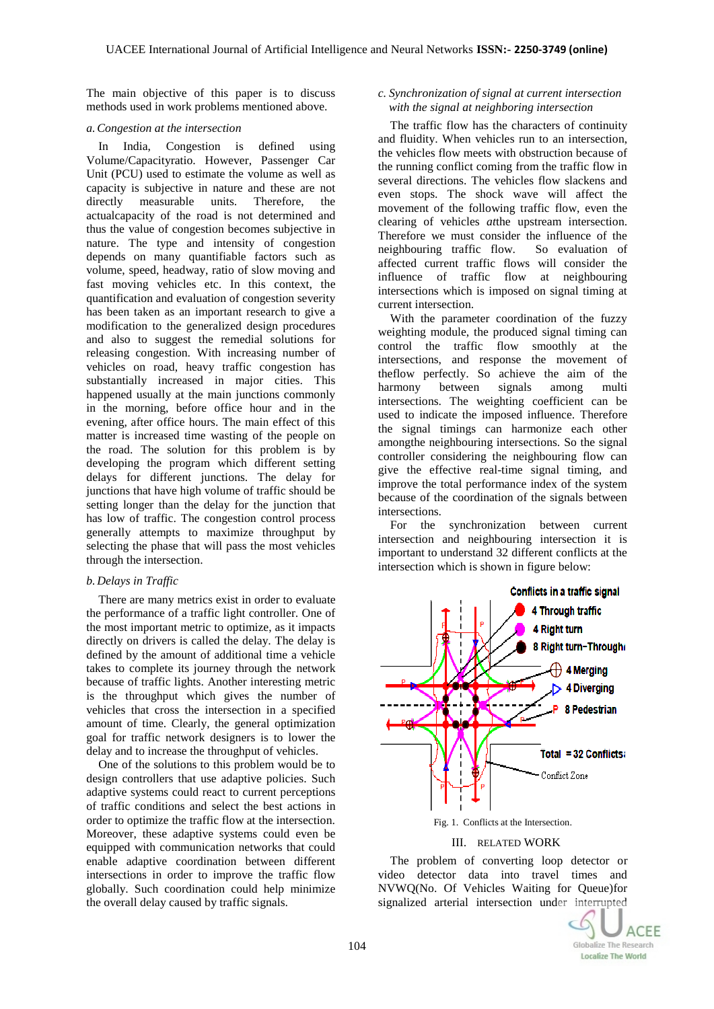The main objective of this paper is to discuss methods used in work problems mentioned above.

### *a.Congestion at the intersection*

In India, Congestion is defined using Volume/Capacityratio. However, Passenger Car Unit (PCU) used to estimate the volume as well as capacity is subjective in nature and these are not directly measurable units. Therefore, the actualcapacity of the road is not determined and thus the value of congestion becomes subjective in nature. The type and intensity of congestion depends on many quantifiable factors such as volume, speed, headway, ratio of slow moving and fast moving vehicles etc. In this context, the quantification and evaluation of congestion severity has been taken as an important research to give a modification to the generalized design procedures and also to suggest the remedial solutions for releasing congestion. With increasing number of vehicles on road, heavy traffic congestion has substantially increased in major cities. This happened usually at the main junctions commonly in the morning, before office hour and in the evening, after office hours. The main effect of this matter is increased time wasting of the people on the road. The solution for this problem is by developing the program which different setting delays for different junctions. The delay for junctions that have high volume of traffic should be setting longer than the delay for the junction that has low of traffic. The congestion control process generally attempts to maximize throughput by selecting the phase that will pass the most vehicles through the intersection.

### *b. Delays in Traffic*

There are many metrics exist in order to evaluate the performance of a traffic light controller. One of the most important metric to optimize, as it impacts directly on drivers is called the delay. The delay is defined by the amount of additional time a vehicle takes to complete its journey through the network because of traffic lights. Another interesting metric is the throughput which gives the number of vehicles that cross the intersection in a specified amount of time. Clearly, the general optimization goal for traffic network designers is to lower the delay and to increase the throughput of vehicles.

One of the solutions to this problem would be to design controllers that use adaptive policies. Such adaptive systems could react to current perceptions of traffic conditions and select the best actions in order to optimize the traffic flow at the intersection. Moreover, these adaptive systems could even be equipped with communication networks that could enable adaptive coordination between different intersections in order to improve the traffic flow globally. Such coordination could help minimize the overall delay caused by traffic signals.

## *c. Synchronization of signal at current intersection with the signal at neighboring intersection*

The traffic flow has the characters of continuity and fluidity. When vehicles run to an intersection, the vehicles flow meets with obstruction because of the running conflict coming from the traffic flow in several directions. The vehicles flow slackens and even stops. The shock wave will affect the movement of the following traffic flow, even the clearing of vehicles *at*the upstream intersection. Therefore we must consider the influence of the neighbouring traffic flow. So evaluation of affected current traffic flows will consider the influence of traffic flow at neighbouring intersections which is imposed on signal timing at current intersection.

With the parameter coordination of the fuzzy weighting module, the produced signal timing can control the traffic flow smoothly at the intersections, and response the movement of theflow perfectly. So achieve the aim of the harmony between signals among multi intersections. The weighting coefficient can be used to indicate the imposed influence. Therefore the signal timings can harmonize each other amongthe neighbouring intersections. So the signal controller considering the neighbouring flow can give the effective real-time signal timing, and improve the total performance index of the system because of the coordination of the signals between intersections.

For the synchronization between current intersection and neighbouring intersection it is important to understand 32 different conflicts at the intersection which is shown in figure below:



Fig. 1. Conflicts at the Intersection.

#### III. RELATED WORK

The problem of converting loop detector or video detector data into travel times and NVWQ(No. Of Vehicles Waiting for Queue)for signalized arterial intersection under interrupted

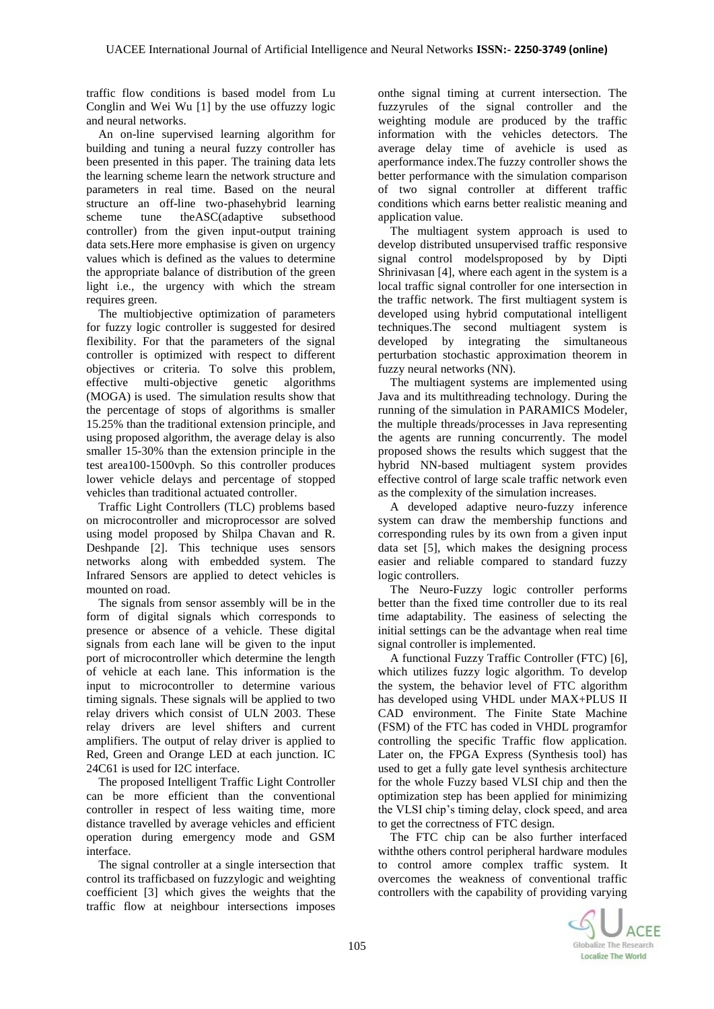traffic flow conditions is based model from Lu Conglin and Wei Wu [1] by the use offuzzy logic and neural networks.

An on-line supervised learning algorithm for building and tuning a neural fuzzy controller has been presented in this paper. The training data lets the learning scheme learn the network structure and parameters in real time. Based on the neural structure an off-line two-phasehybrid learning<br>scheme tune the ASC (adaptive subsethood tune theASC(adaptive subsethood controller) from the given input-output training data sets.Here more emphasise is given on urgency values which is defined as the values to determine the appropriate balance of distribution of the green light i.e., the urgency with which the stream requires green.

The multiobjective optimization of parameters for fuzzy logic controller is suggested for desired flexibility. For that the parameters of the signal controller is optimized with respect to different objectives or criteria. To solve this problem, effective multi-objective genetic algorithms (MOGA) is used. The simulation results show that the percentage of stops of algorithms is smaller 15.25% than the traditional extension principle, and using proposed algorithm, the average delay is also smaller 15-30% than the extension principle in the test area100-1500vph. So this controller produces lower vehicle delays and percentage of stopped vehicles than traditional actuated controller.

Traffic Light Controllers (TLC) problems based on microcontroller and microprocessor are solved using model proposed by Shilpa Chavan and R. Deshpande [2]. This technique uses sensors networks along with embedded system. The Infrared Sensors are applied to detect vehicles is mounted on road.

The signals from sensor assembly will be in the form of digital signals which corresponds to presence or absence of a vehicle. These digital signals from each lane will be given to the input port of microcontroller which determine the length of vehicle at each lane. This information is the input to microcontroller to determine various timing signals. These signals will be applied to two relay drivers which consist of ULN 2003. These relay drivers are level shifters and current amplifiers. The output of relay driver is applied to Red, Green and Orange LED at each junction. IC 24C61 is used for I2C interface.

The proposed Intelligent Traffic Light Controller can be more efficient than the conventional controller in respect of less waiting time, more distance travelled by average vehicles and efficient operation during emergency mode and GSM interface.

The signal controller at a single intersection that control its trafficbased on fuzzylogic and weighting coefficient [3] which gives the weights that the traffic flow at neighbour intersections imposes

onthe signal timing at current intersection. The fuzzyrules of the signal controller and the weighting module are produced by the traffic information with the vehicles detectors. The average delay time of avehicle is used as aperformance index.The fuzzy controller shows the better performance with the simulation comparison of two signal controller at different traffic conditions which earns better realistic meaning and application value.

The multiagent system approach is used to develop distributed unsupervised traffic responsive signal control modelsproposed by by Dipti Shrinivasan [4], where each agent in the system is a local traffic signal controller for one intersection in the traffic network. The first multiagent system is developed using hybrid computational intelligent techniques.The second multiagent system is developed by integrating the simultaneous perturbation stochastic approximation theorem in fuzzy neural networks (NN).

The multiagent systems are implemented using Java and its multithreading technology. During the running of the simulation in PARAMICS Modeler, the multiple threads/processes in Java representing the agents are running concurrently. The model proposed shows the results which suggest that the hybrid NN-based multiagent system provides effective control of large scale traffic network even as the complexity of the simulation increases.

A developed adaptive neuro-fuzzy inference system can draw the membership functions and corresponding rules by its own from a given input data set [5], which makes the designing process easier and reliable compared to standard fuzzy logic controllers.

The Neuro-Fuzzy logic controller performs better than the fixed time controller due to its real time adaptability. The easiness of selecting the initial settings can be the advantage when real time signal controller is implemented.

A functional Fuzzy Traffic Controller (FTC) [6], which utilizes fuzzy logic algorithm. To develop the system, the behavior level of FTC algorithm has developed using VHDL under MAX+PLUS II CAD environment. The Finite State Machine (FSM) of the FTC has coded in VHDL programfor controlling the specific Traffic flow application. Later on, the FPGA Express (Synthesis tool) has used to get a fully gate level synthesis architecture for the whole Fuzzy based VLSI chip and then the optimization step has been applied for minimizing the VLSI chip's timing delay, clock speed, and area to get the correctness of FTC design.

The FTC chip can be also further interfaced withthe others control peripheral hardware modules to control amore complex traffic system. It overcomes the weakness of conventional traffic controllers with the capability of providing varying

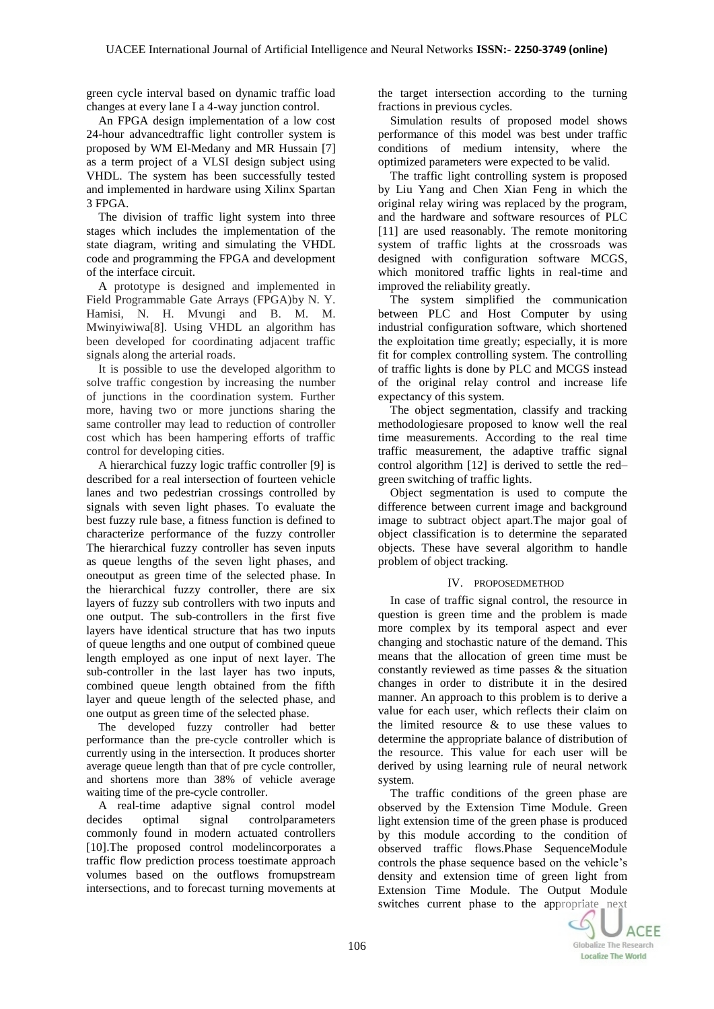green cycle interval based on dynamic traffic load changes at every lane I a 4-way junction control.

An FPGA design implementation of a low cost 24-hour advancedtraffic light controller system is proposed by WM El-Medany and MR Hussain [7] as a term project of a VLSI design subject using VHDL. The system has been successfully tested and implemented in hardware using Xilinx Spartan 3 FPGA.

The division of traffic light system into three stages which includes the implementation of the state diagram, writing and simulating the VHDL code and programming the FPGA and development of the interface circuit.

A prototype is designed and implemented in Field Programmable Gate Arrays (FPGA)by N. Y. Hamisi, N. H. Mvungi and B. M. M. Mwinyiwiwa[8]. Using VHDL an algorithm has been developed for coordinating adjacent traffic signals along the arterial roads.

It is possible to use the developed algorithm to solve traffic congestion by increasing the number of junctions in the coordination system. Further more, having two or more junctions sharing the same controller may lead to reduction of controller cost which has been hampering efforts of traffic control for developing cities.

A hierarchical fuzzy logic traffic controller [9] is described for a real intersection of fourteen vehicle lanes and two pedestrian crossings controlled by signals with seven light phases. To evaluate the best fuzzy rule base, a fitness function is defined to characterize performance of the fuzzy controller The hierarchical fuzzy controller has seven inputs as queue lengths of the seven light phases, and oneoutput as green time of the selected phase. In the hierarchical fuzzy controller, there are six layers of fuzzy sub controllers with two inputs and one output. The sub-controllers in the first five layers have identical structure that has two inputs of queue lengths and one output of combined queue length employed as one input of next layer. The sub-controller in the last layer has two inputs, combined queue length obtained from the fifth layer and queue length of the selected phase, and one output as green time of the selected phase.

The developed fuzzy controller had better performance than the pre-cycle controller which is currently using in the intersection. It produces shorter average queue length than that of pre cycle controller, and shortens more than 38% of vehicle average waiting time of the pre-cycle controller.

A real-time adaptive signal control model decides optimal signal controlparameters commonly found in modern actuated controllers [10].The proposed control modelincorporates a traffic flow prediction process toestimate approach volumes based on the outflows fromupstream intersections, and to forecast turning movements at

the target intersection according to the turning fractions in previous cycles.

Simulation results of proposed model shows performance of this model was best under traffic conditions of medium intensity, where the optimized parameters were expected to be valid.

The traffic light controlling system is proposed by Liu Yang and Chen Xian Feng in which the original relay wiring was replaced by the program, and the hardware and software resources of PLC [11] are used reasonably. The remote monitoring system of traffic lights at the crossroads was designed with configuration software MCGS, which monitored traffic lights in real-time and improved the reliability greatly.

The system simplified the communication between PLC and Host Computer by using industrial configuration software, which shortened the exploitation time greatly; especially, it is more fit for complex controlling system. The controlling of traffic lights is done by PLC and MCGS instead of the original relay control and increase life expectancy of this system.

The object segmentation, classify and tracking methodologiesare proposed to know well the real time measurements. According to the real time traffic measurement, the adaptive traffic signal control algorithm [12] is derived to settle the red– green switching of traffic lights.

Object segmentation is used to compute the difference between current image and background image to subtract object apart.The major goal of object classification is to determine the separated objects. These have several algorithm to handle problem of object tracking.

# IV. PROPOSEDMETHOD

In case of traffic signal control, the resource in question is green time and the problem is made more complex by its temporal aspect and ever changing and stochastic nature of the demand. This means that the allocation of green time must be constantly reviewed as time passes & the situation changes in order to distribute it in the desired manner. An approach to this problem is to derive a value for each user, which reflects their claim on the limited resource  $\&$  to use these values to determine the appropriate balance of distribution of the resource. This value for each user will be derived by using learning rule of neural network system.

The traffic conditions of the green phase are observed by the Extension Time Module. Green light extension time of the green phase is produced by this module according to the condition of observed traffic flows.Phase SequenceModule controls the phase sequence based on the vehicle's density and extension time of green light from Extension Time Module. The Output Module switches current phase to the appropriate next